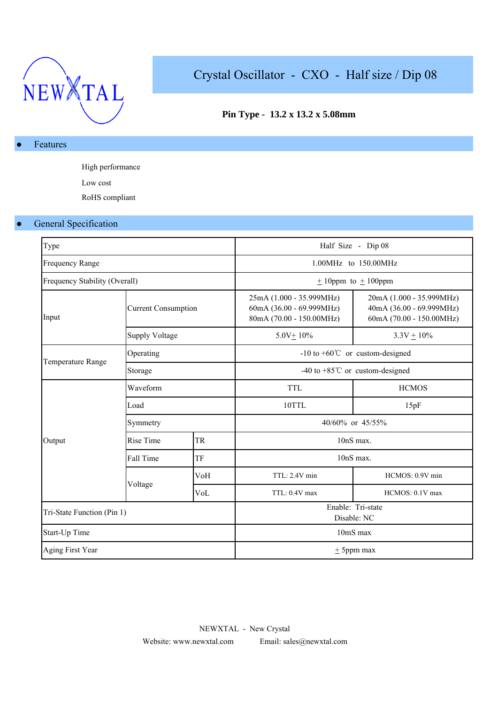

# Crystal Oscillator - CXO - Half size / Dip 08

## **Pin Type - 13.2 x 13.2 x 5.08mm**

### Features

High performance Low cost

RoHS compliant

## **General Specification**

| Type                          |                            |     |                                                                                  | Half Size - Dip 08                                                               |  |  |  |
|-------------------------------|----------------------------|-----|----------------------------------------------------------------------------------|----------------------------------------------------------------------------------|--|--|--|
| <b>Frequency Range</b>        |                            |     |                                                                                  | 1.00MHz to 150.00MHz                                                             |  |  |  |
| Frequency Stability (Overall) |                            |     | $\pm$ 10ppm to $\pm$ 100ppm                                                      |                                                                                  |  |  |  |
| Input                         | <b>Current Consumption</b> |     | 25mA (1.000 - 35.999MHz)<br>60mA (36.00 - 69.999MHz)<br>80mA (70.00 - 150.00MHz) | 20mA (1.000 - 35.999MHz)<br>40mA (36.00 - 69.999MHz)<br>60mA (70.00 - 150.00MHz) |  |  |  |
|                               | <b>Supply Voltage</b>      |     | $5.0V + 10\%$                                                                    | $3.3V + 10\%$                                                                    |  |  |  |
|                               | Operating                  |     | -10 to +60 $^{\circ}$ C or custom-designed                                       |                                                                                  |  |  |  |
| Temperature Range             | Storage                    |     | -40 to +85 $^{\circ}$ C or custom-designed                                       |                                                                                  |  |  |  |
|                               | Waveform                   |     | <b>TTL</b>                                                                       | <b>HCMOS</b>                                                                     |  |  |  |
|                               | Load                       |     | 10TTL                                                                            | 15pF                                                                             |  |  |  |
|                               | Symmetry                   |     | 40/60% or 45/55%                                                                 |                                                                                  |  |  |  |
| Output                        | Rise Time                  | TR  | 10nS max.                                                                        |                                                                                  |  |  |  |
|                               | Fall Time                  | TF  |                                                                                  | 10nS max.                                                                        |  |  |  |
|                               |                            | VoH | TTL: 2.4V min                                                                    | HCMOS: 0.9V min                                                                  |  |  |  |
|                               | Voltage                    | VoL | TTL: 0.4V max                                                                    | HCMOS: 0.1V max                                                                  |  |  |  |
| Tri-State Function (Pin 1)    |                            |     | Enable: Tri-state<br>Disable: NC                                                 |                                                                                  |  |  |  |
| Start-Up Time                 |                            |     | 10mS max                                                                         |                                                                                  |  |  |  |
| Aging First Year              |                            |     |                                                                                  | $\pm$ 5ppm max                                                                   |  |  |  |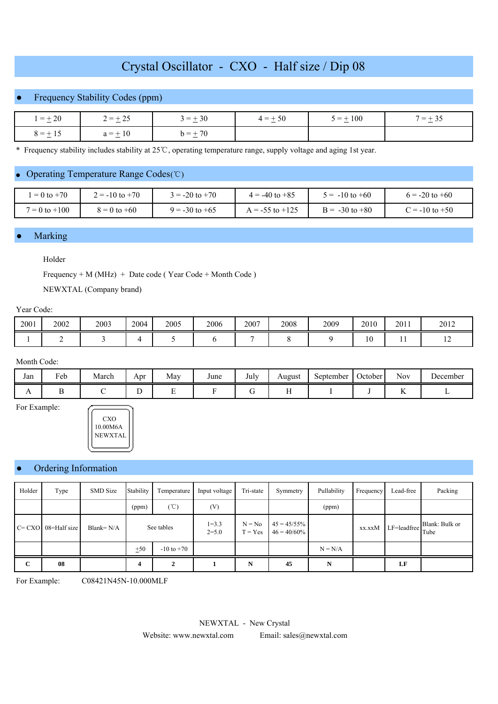## Crystal Oscillator - CXO - Half size / Dip 08

## **Frequency Stability Codes (ppm)**

| $=\pm 20$    | $2 = \pm 25$ | $3 = +30$<br>$\sim$ | $4 = +50$<br>$\sim$ | $5 = \pm 100$ | $=$<br>the company's company's com- |  |
|--------------|--------------|---------------------|---------------------|---------------|-------------------------------------|--|
| $8 = \pm 15$ | $a = \pm 10$ | $h = +70$<br>$\sim$ |                     |               |                                     |  |

\* Frequency stability includes stability at 25 ℃, operating temperature range, supply voltage and aging 1st year.

### ● Operating Temperature Range Codes(℃)

| $= 0$ to $+70$    | $2 = -10$ to $+70$ | $3 = -20$ to $+70$ | $4 = -40$ to $+85$  | $5 = -10$ to $+60$ | $6 = -20$ to $+60$ |
|-------------------|--------------------|--------------------|---------------------|--------------------|--------------------|
| $7 = 0$ to $+100$ | $8 = 0$ to $+60$   | $9 = -30$ to $+65$ | $A = -55$ to $+125$ | $B = -30$ to $+80$ | $C = -10$ to $+50$ |

#### **Marking**

## Holder

Frequency + M (MHz) + Date code ( Year Code + Month Code )

NEWXTAL (Company brand)

#### Year Code:

| 2001 | 2002 | 2003 | 2004 | 2005 | 2006 | 2007 | 2008 | 2009 | 2010          | 2011 | 2012           |
|------|------|------|------|------|------|------|------|------|---------------|------|----------------|
|      |      |      |      |      |      |      |      |      | $\sim$<br>1 V | . .  | $\overline{1}$ |

#### Month Code:

| Jan            | Feb | March | Apr | May | June | July | August | $\tilde{\phantom{a}}$<br>September | $\sim$<br><b>October</b> | <b>Nov</b> | December |
|----------------|-----|-------|-----|-----|------|------|--------|------------------------------------|--------------------------|------------|----------|
| $\overline{1}$ |     |       |     | -   |      |      |        |                                    |                          |            |          |

For Example:



#### Ordering Information

| Holder       | Type         | <b>SMD</b> Size | Stability  | Temperature    | Input voltage          | Tri-state             | Symmetry                         | Pullability | Frequency | Lead-free   | Packing                |
|--------------|--------------|-----------------|------------|----------------|------------------------|-----------------------|----------------------------------|-------------|-----------|-------------|------------------------|
|              |              |                 | (ppm)      | $(\degree C)$  | (V)                    |                       |                                  | (ppm)       |           |             |                        |
| $C = CXO$    | 08=Half size | Blank= $N/A$    | See tables |                | $1 = 3.3$<br>$2 = 5.0$ | $N = No$<br>$T = Yes$ | $45 = 45/55\%$<br>$46 = 40/60\%$ |             | xx.xxM    | LF=leadfree | Blank: Bulk or<br>Tube |
|              |              |                 | ±50        | $-10$ to $+70$ |                        |                       |                                  | $N = N/A$   |           |             |                        |
| $\mathbf{C}$ | 08           |                 | 4          | 2              |                        | N                     | 45                               | N           |           | LF          |                        |

For Example: C08421N45N-10.000MLF

NEWXTAL - New Crystal

Website: www.newxtal.com Email: sales@newxtal.com